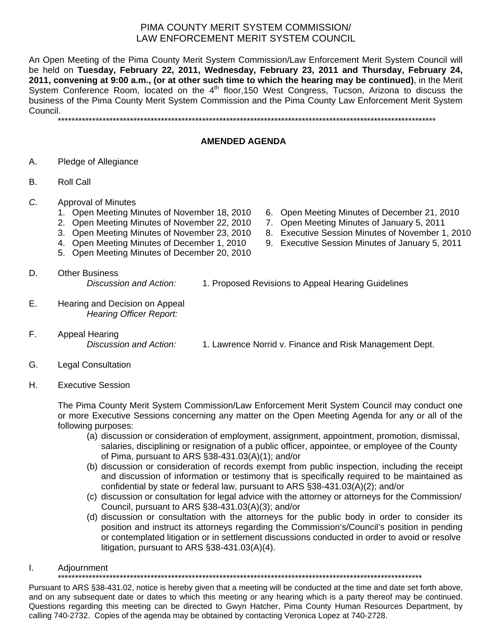## PIMA COUNTY MERIT SYSTEM COMMISSION/ LAW ENFORCEMENT MERIT SYSTEM COUNCIL

An Open Meeting of the Pima County Merit System Commission/Law Enforcement Merit System Council will be held on **Tuesday, February 22, 2011, Wednesday, February 23, 2011 and Thursday, February 24, 2011, convening at 9:00 a.m., (or at other such time to which the hearing may be continued)**, in the Merit System Conference Room, located on the  $4<sup>th</sup>$  floor, 150 West Congress, Tucson, Arizona to discuss the business of the Pima County Merit System Commission and the Pima County Law Enforcement Merit System Council.

\*\*\*\*\*\*\*\*\*\*\*\*\*\*\*\*\*\*\*\*\*\*\*\*\*\*\*\*\*\*\*\*\*\*\*\*\*\*\*\*\*\*\*\*\*\*\*\*\*\*\*\*\*\*\*\*\*\*\*\*\*\*\*\*\*\*\*\*\*\*\*\*\*\*\*\*\*\*\*\*\*\*\*\*\*\*\*\*\*\*\*\*\*\*\*\*\*\*\*\*\*\*\*\*\*\*\*\*\*\*

## **AMENDED AGENDA**

- A. Pledge of Allegiance
- B. Roll Call
- *C.* Approval of Minutes
	- 1. Open Meeting Minutes of November 18, 2010 6. Open Meeting Minutes of December 21, 2010
	- 2. Open Meeting Minutes of November 22, 2010 7. Open Meeting Minutes of January 5, 2011
	- 3. Open Meeting Minutes of November 23, 2010 8. Executive Session Minutes of November 1, 2010
	-
	- 5. Open Meeting Minutes of December 20, 2010
- 
- 
- 
- 4. Open Meeting Minutes of December 1, 2010 9. Executive Session Minutes of January 5, 2011
- D. Other Business *Discussion and Action:* 1. Proposed Revisions to Appeal Hearing Guidelines
- E. Hearing and Decision on Appeal *Hearing Officer Report:*
- F. Appeal Hearing
	- *Discussion and Action:* 1. Lawrence Norrid v. Finance and Risk Management Dept.
- G. Legal Consultation
- H. Executive Session

The Pima County Merit System Commission/Law Enforcement Merit System Council may conduct one or more Executive Sessions concerning any matter on the Open Meeting Agenda for any or all of the following purposes:

- (a) discussion or consideration of employment, assignment, appointment, promotion, dismissal, salaries, disciplining or resignation of a public officer, appointee, or employee of the County of Pima, pursuant to ARS §38-431.03(A)(1); and/or
- (b) discussion or consideration of records exempt from public inspection, including the receipt and discussion of information or testimony that is specifically required to be maintained as confidential by state or federal law, pursuant to ARS §38-431.03(A)(2); and/or
- (c) discussion or consultation for legal advice with the attorney or attorneys for the Commission/ Council, pursuant to ARS §38-431.03(A)(3); and/or
- (d) discussion or consultation with the attorneys for the public body in order to consider its position and instruct its attorneys regarding the Commission's/Council's position in pending or contemplated litigation or in settlement discussions conducted in order to avoid or resolve litigation, pursuant to ARS §38-431.03(A)(4).
- I. Adjournment

\*\*\*\*\*\*\*\*\*\*\*\*\*\*\*\*\*\*\*\*\*\*\*\*\*\*\*\*\*\*\*\*\*\*\*\*\*\*\*\*\*\*\*\*\*\*\*\*\*\*\*\*\*\*\*\*\*\*\*\*\*\*\*\*\*\*\*\*\*\*\*\*\*\*\*\*\*\*\*\*\*\*\*\*\*\*\*\*\*\*\*\*\*\*\*\*\*\*\*\*\*\*\*\*\*\*

Pursuant to ARS §38-431.02, notice is hereby given that a meeting will be conducted at the time and date set forth above, and on any subsequent date or dates to which this meeting or any hearing which is a party thereof may be continued. Questions regarding this meeting can be directed to Gwyn Hatcher, Pima County Human Resources Department, by calling 740-2732. Copies of the agenda may be obtained by contacting Veronica Lopez at 740-2728.